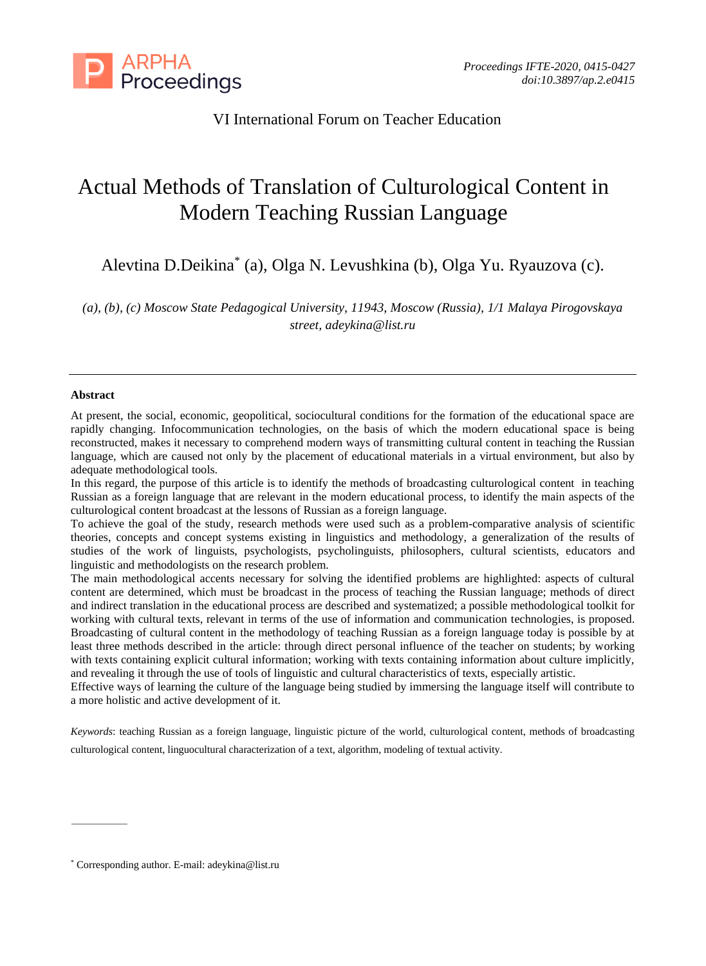

# VI International Forum on Teacher Education

# Actual Methods of Translation of Culturological Content in Modern Teaching Russian Language

Alevtina D.Deikina\* (a), Olga N. Levushkina (b), Olga Yu. Ryauzova (c).

*(a), (b), (c) Moscow State Pedagogical University, 11943, Moscow (Russia), 1/1 Malaya Pirogovskaya street, [adeykina@list.ru](mailto:adeykina@list.ru)*

#### **Abstract**

At present, the social, economic, geopolitical, sociocultural conditions for the formation of the educational space are rapidly changing. Infocommunication technologies, on the basis of which the modern educational space is being reconstructed, makes it necessary to comprehend modern ways of transmitting cultural content in teaching the Russian language, which are caused not only by the placement of educational materials in a virtual environment, but also by adequate methodological tools.

In this regard, the purpose of this article is to identify the methods of broadcasting culturological content in teaching Russian as a foreign language that are relevant in the modern educational process, to identify the main aspects of the culturological content broadcast at the lessons of Russian as a foreign language.

To achieve the goal of the study, research methods were used such as a problem-comparative analysis of scientific theories, concepts and concept systems existing in linguistics and methodology, a generalization of the results of studies of the work of linguists, psychologists, psycholinguists, philosophers, cultural scientists, educators and linguistic and methodologists on the research problem.

The main methodological accents necessary for solving the identified problems are highlighted: aspects of cultural content are determined, which must be broadcast in the process of teaching the Russian language; methods of direct and indirect translation in the educational process are described and systematized; a possible methodological toolkit for working with cultural texts, relevant in terms of the use of information and communication technologies, is proposed. Broadcasting of cultural content in the methodology of teaching Russian as a foreign language today is possible by at least three methods described in the article: through direct personal influence of the teacher on students; by working with texts containing explicit cultural information; working with texts containing information about culture implicitly, and revealing it through the use of tools of linguistic and cultural characteristics of texts, especially artistic.

Effective ways of learning the culture of the language being studied by immersing the language itself will contribute to a more holistic and active development of it.

*Keywords*: teaching Russian as a foreign language, linguistic picture of the world, culturological content, methods of broadcasting culturological content, linguocultural characterization of a text, algorithm, modeling of textual activity.

<sup>\*</sup> Corresponding author. E-mail: adeykina@list.ru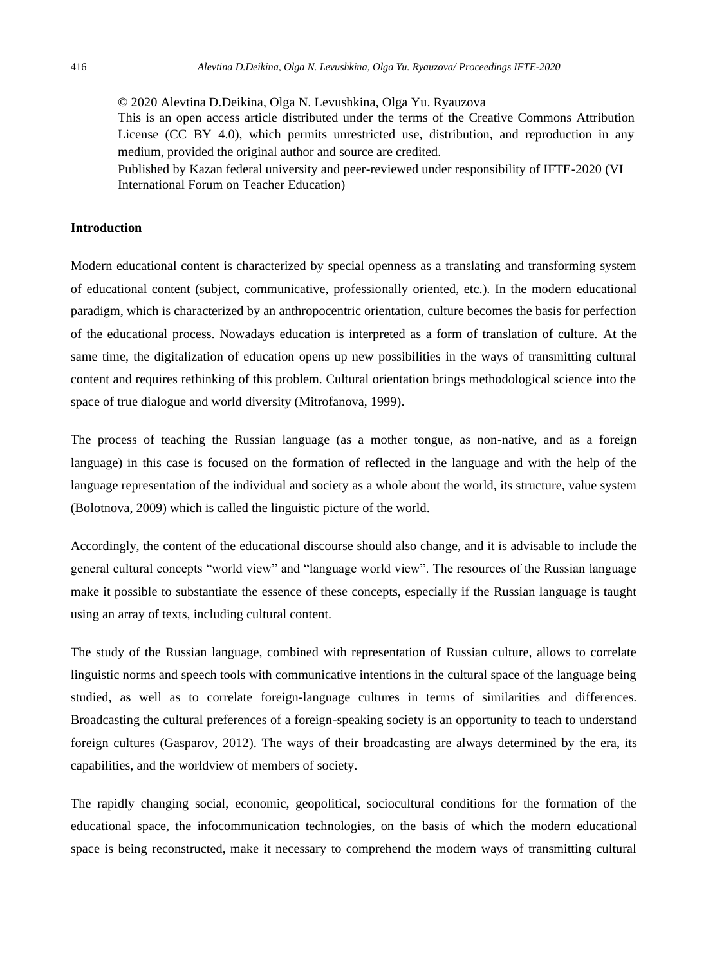© 2020 Alevtina D.Deikina, Olga N. Levushkina, Olga Yu. Ryauzova This is an open access article distributed under the terms of the Creative Commons Attribution License (CC BY 4.0), which permits unrestricted use, distribution, and reproduction in any medium, provided the original author and source are credited.

Published by Kazan federal university and peer-reviewed under responsibility of IFTE-2020 (VI International Forum on Teacher Education)

#### **Introduction**

Modern educational content is characterized by special openness as a translating and transforming system of educational content (subject, communicative, professionally oriented, etc.). In the modern educational paradigm, which is characterized by an anthropocentric orientation, culture becomes the basis for perfection of the educational process. Nowadays education is interpreted as a form of translation of culture. At the same time, the digitalization of education opens up new possibilities in the ways of transmitting cultural content and requires rethinking of this problem. Cultural orientation brings methodological science into the space of true dialogue and world diversity (Mitrofanova, 1999).

The process of teaching the Russian language (as a mother tongue, as non-native, and as a foreign language) in this case is focused on the formation of reflected in the language and with the help of the language representation of the individual and society as a whole about the world, its structure, value system (Bolotnova, 2009) which is called the linguistic picture of the world.

Accordingly, the content of the educational discourse should also change, and it is advisable to include the general cultural concepts "world view" and "language world view". The resources of the Russian language make it possible to substantiate the essence of these concepts, especially if the Russian language is taught using an array of texts, including cultural content.

The study of the Russian language, combined with representation of Russian culture, allows to correlate linguistic norms and speech tools with communicative intentions in the cultural space of the language being studied, as well as to correlate foreign-language cultures in terms of similarities and differences. Broadcasting the cultural preferences of a foreign-speaking society is an opportunity to teach to understand foreign cultures (Gasparov, 2012). The ways of their broadcasting are always determined by the era, its capabilities, and the worldview of members of society.

The rapidly changing social, economic, geopolitical, sociocultural conditions for the formation of the educational space, the infocommunication technologies, on the basis of which the modern educational space is being reconstructed, make it necessary to comprehend the modern ways of transmitting cultural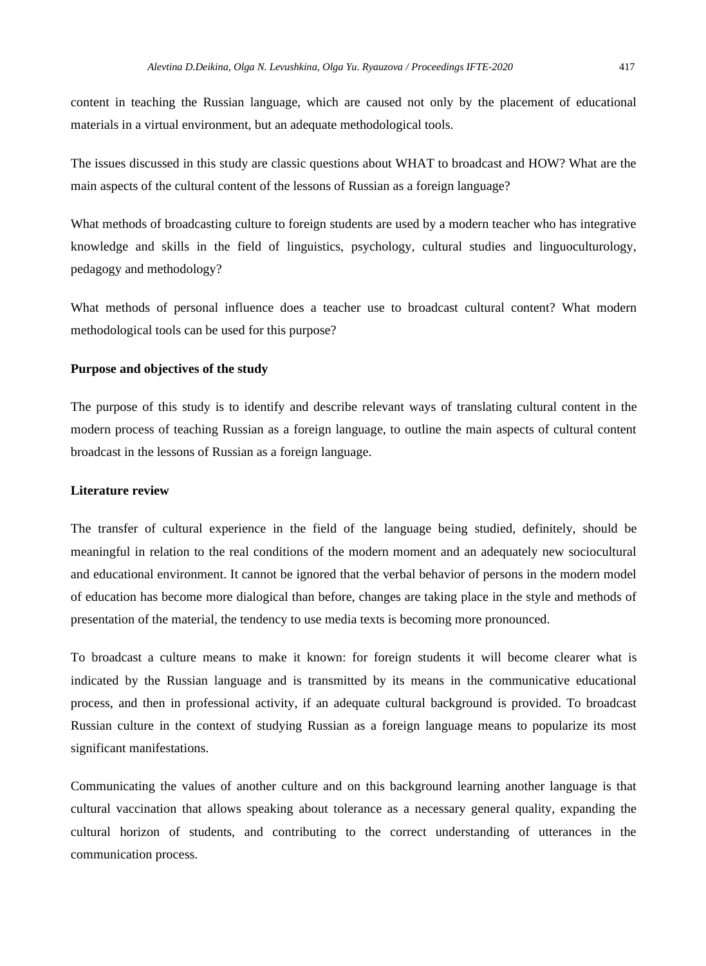content in teaching the Russian language, which are caused not only by the placement of educational materials in a virtual environment, but an adequate methodological tools.

The issues discussed in this study are classic questions about WHAT to broadcast and HOW? What are the main aspects of the cultural content of the lessons of Russian as a foreign language?

What methods of broadcasting culture to foreign students are used by a modern teacher who has integrative knowledge and skills in the field of linguistics, psychology, cultural studies and linguoculturology, pedagogy and methodology?

What methods of personal influence does a teacher use to broadcast cultural content? What modern methodological tools can be used for this purpose?

# **Purpose and objectives of the study**

The purpose of this study is to identify and describe relevant ways of translating cultural content in the modern process of teaching Russian as a foreign language, to outline the main aspects of cultural content broadcast in the lessons of Russian as a foreign language.

# **Literature review**

The transfer of cultural experience in the field of the language being studied, definitely, should be meaningful in relation to the real conditions of the modern moment and an adequately new sociocultural and educational environment. It cannot be ignored that the verbal behavior of persons in the modern model of education has become more dialogical than before, changes are taking place in the style and methods of presentation of the material, the tendency to use media texts is becoming more pronounced.

To broadcast a culture means to make it known: for foreign students it will become clearer what is indicated by the Russian language and is transmitted by its means in the communicative educational process, and then in professional activity, if an adequate cultural background is provided. To broadcast Russian culture in the context of studying Russian as a foreign language means to popularize its most significant manifestations.

Communicating the values of another culture and on this background learning another language is that cultural vaccination that allows speaking about tolerance as a necessary general quality, expanding the cultural horizon of students, and contributing to the correct understanding of utterances in the communication process.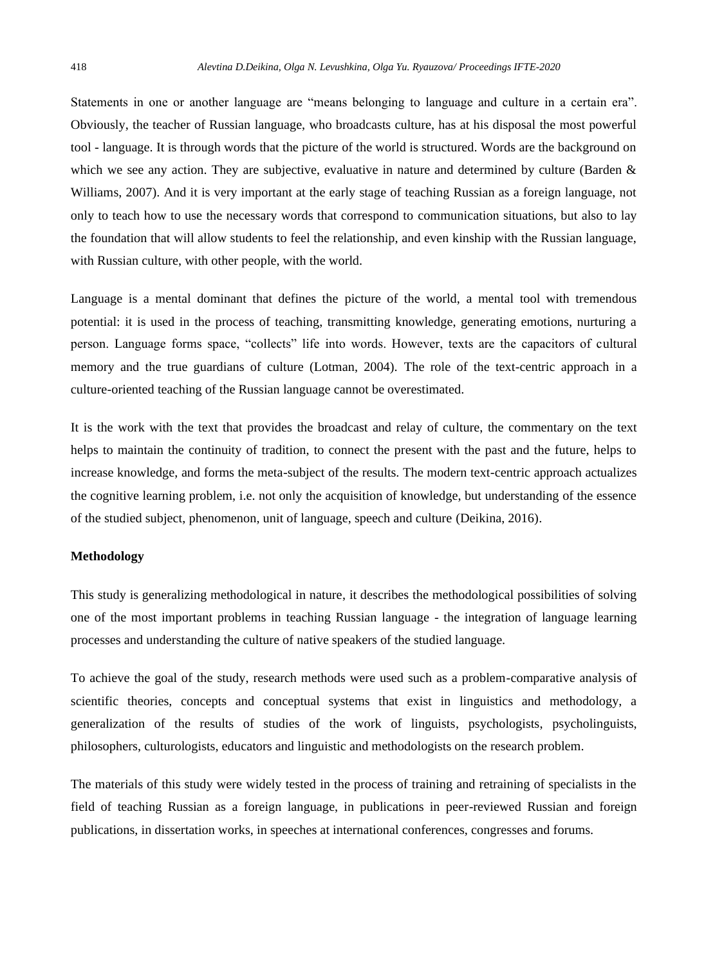Statements in one or another language are "means belonging to language and culture in a certain era". Obviously, the teacher of Russian language, who broadcasts culture, has at his disposal the most powerful tool - language. It is through words that the picture of the world is structured. Words are the background on which we see any action. They are subjective, evaluative in nature and determined by culture (Barden  $\&$ Williams, 2007). And it is very important at the early stage of teaching Russian as a foreign language, not only to teach how to use the necessary words that correspond to communication situations, but also to lay the foundation that will allow students to feel the relationship, and even kinship with the Russian language, with Russian culture, with other people, with the world.

Language is a mental dominant that defines the picture of the world, a mental tool with tremendous potential: it is used in the process of teaching, transmitting knowledge, generating emotions, nurturing a person. Language forms space, "collects" life into words. However, texts are the capacitors of cultural memory and the true guardians of culture (Lotman, 2004). The role of the text-centric approach in a culture-oriented teaching of the Russian language cannot be overestimated.

It is the work with the text that provides the broadcast and relay of culture, the commentary on the text helps to maintain the continuity of tradition, to connect the present with the past and the future, helps to increase knowledge, and forms the meta-subject of the results. The modern text-centric approach actualizes the cognitive learning problem, i.e. not only the acquisition of knowledge, but understanding of the essence of the studied subject, phenomenon, unit of language, speech and culture (Deikina, 2016).

#### **Methodology**

This study is generalizing methodological in nature, it describes the methodological possibilities of solving one of the most important problems in teaching Russian language - the integration of language learning processes and understanding the culture of native speakers of the studied language.

To achieve the goal of the study, research methods were used such as a problem-comparative analysis of scientific theories, concepts and conceptual systems that exist in linguistics and methodology, a generalization of the results of studies of the work of linguists, psychologists, psycholinguists, philosophers, culturologists, educators and linguistic and methodologists on the research problem.

The materials of this study were widely tested in the process of training and retraining of specialists in the field of teaching Russian as a foreign language, in publications in peer-reviewed Russian and foreign publications, in dissertation works, in speeches at international conferences, congresses and forums.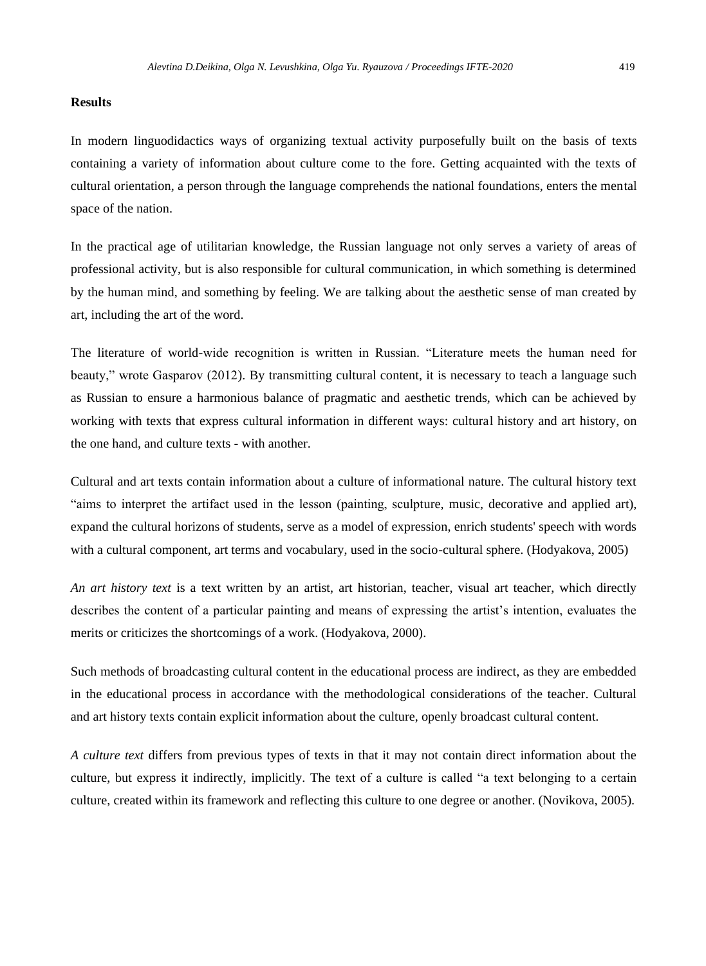#### **Results**

In modern linguodidactics ways of organizing textual activity purposefully built on the basis of texts containing a variety of information about culture come to the fore. Getting acquainted with the texts of cultural orientation, a person through the language comprehends the national foundations, enters the mental space of the nation.

In the practical age of utilitarian knowledge, the Russian language not only serves a variety of areas of professional activity, but is also responsible for cultural communication, in which something is determined by the human mind, and something by feeling. We are talking about the aesthetic sense of man created by art, including the art of the word.

The literature of world-wide recognition is written in Russian. "Literature meets the human need for beauty," wrote Gasparov (2012). By transmitting cultural content, it is necessary to teach a language such as Russian to ensure a harmonious balance of pragmatic and aesthetic trends, which can be achieved by working with texts that express cultural information in different ways: cultural history and art history, on the one hand, and culture texts - with another.

Cultural and art texts contain information about a culture of informational nature. The cultural history text "aims to interpret the artifact used in the lesson (painting, sculpture, music, decorative and applied art), expand the cultural horizons of students, serve as a model of expression, enrich students' speech with words with a cultural component, art terms and vocabulary, used in the socio-cultural sphere. (Hodyakova, 2005)

*An art history text* is a text written by an artist, art historian, teacher, visual art teacher, which directly describes the content of a particular painting and means of expressing the artist's intention, evaluates the merits or criticizes the shortcomings of a work. (Hodyakova, 2000).

Such methods of broadcasting cultural content in the educational process are indirect, as they are embedded in the educational process in accordance with the methodological considerations of the teacher. Cultural and art history texts contain explicit information about the culture, openly broadcast cultural content.

*A culture text* differs from previous types of texts in that it may not contain direct information about the culture, but express it indirectly, implicitly. The text of a culture is called "a text belonging to a certain culture, created within its framework and reflecting this culture to one degree or another. (Novikova, 2005).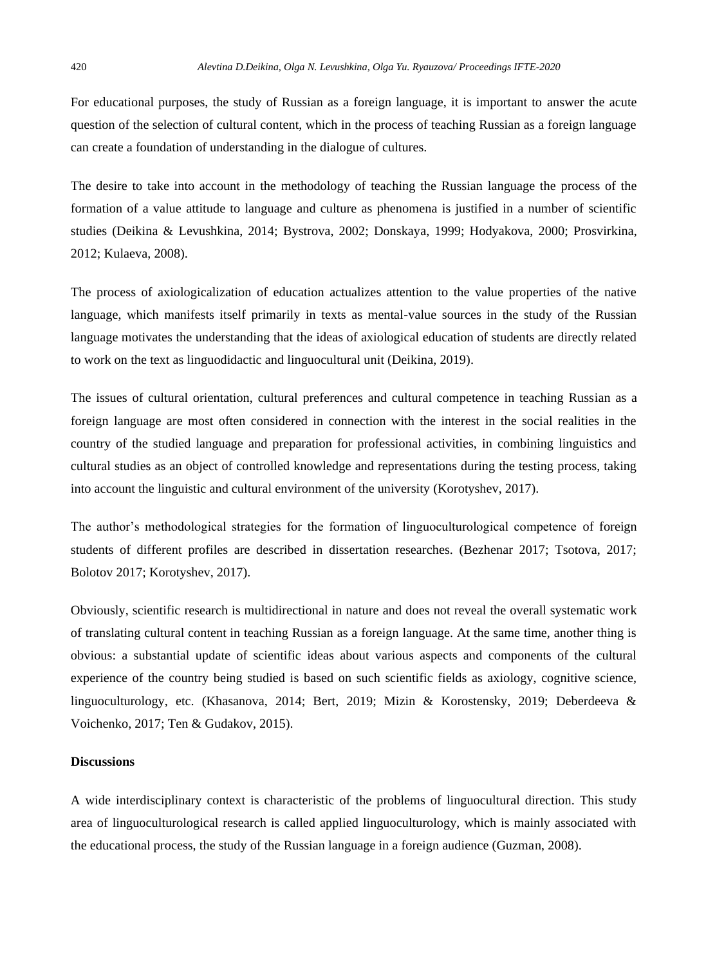For educational purposes, the study of Russian as a foreign language, it is important to answer the acute question of the selection of cultural content, which in the process of teaching Russian as a foreign language can create a foundation of understanding in the dialogue of cultures.

The desire to take into account in the methodology of teaching the Russian language the process of the formation of a value attitude to language and culture as phenomena is justified in a number of scientific studies (Deikina & Levushkina, 2014; Bystrova, 2002; Donskaya, 1999; Hodyakova, 2000; Prosvirkina, 2012; Kulaeva, 2008).

The process of axiologicalization of education actualizes attention to the value properties of the native language, which manifests itself primarily in texts as mental-value sources in the study of the Russian language motivates the understanding that the ideas of axiological education of students are directly related to work on the text as linguodidactic and linguocultural unit (Deikina, 2019).

The issues of cultural orientation, cultural preferences and cultural competence in teaching Russian as a foreign language are most often considered in connection with the interest in the social realities in the country of the studied language and preparation for professional activities, in combining linguistics and cultural studies as an object of controlled knowledge and representations during the testing process, taking into account the linguistic and cultural environment of the university (Korotyshev, 2017).

The author's methodological strategies for the formation of linguoculturological competence of foreign students of different profiles are described in dissertation researches. (Bezhenar 2017; Tsotova, 2017; Bolotov 2017; Korotyshev, 2017).

Obviously, scientific research is multidirectional in nature and does not reveal the overall systematic work of translating cultural content in teaching Russian as a foreign language. At the same time, another thing is obvious: a substantial update of scientific ideas about various aspects and components of the cultural experience of the country being studied is based on such scientific fields as axiology, cognitive science, linguoculturology, etc. (Khasanova, 2014; Bert, 2019; Mizin & Korostensky, 2019; Deberdeeva & Voichenko, 2017; Ten & Gudakov, 2015).

#### **Discussions**

A wide interdisciplinary context is characteristic of the problems of linguocultural direction. This study area of linguoculturological research is called applied linguoculturology, which is mainly associated with the educational process, the study of the Russian language in a foreign audience (Guzman, 2008).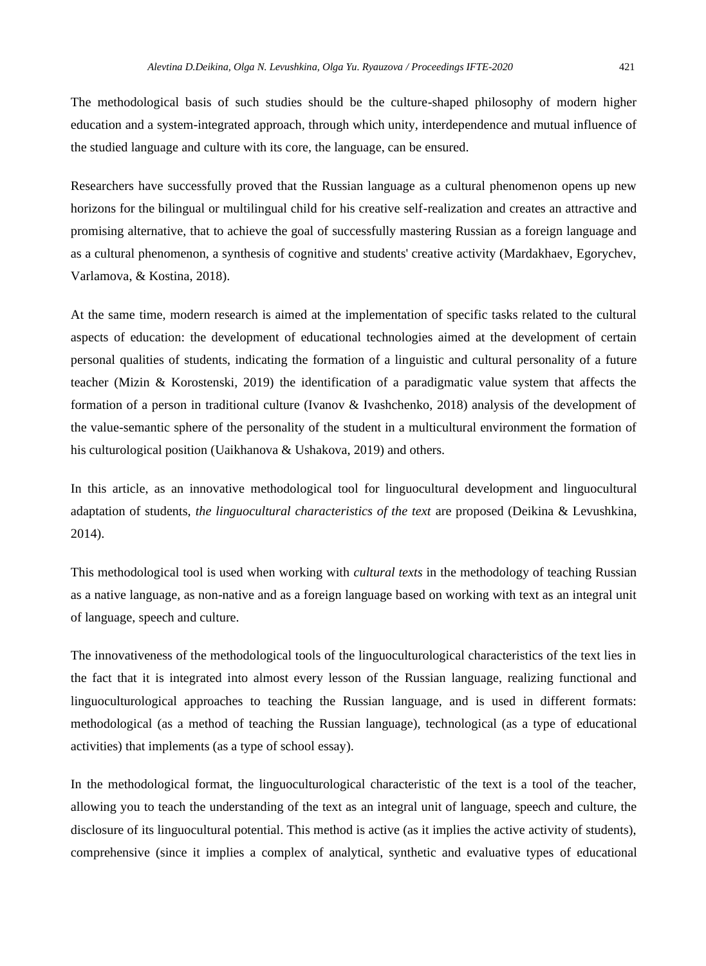The methodological basis of such studies should be the culture-shaped philosophy of modern higher education and a system-integrated approach, through which unity, interdependence and mutual influence of the studied language and culture with its core, the language, can be ensured.

Researchers have successfully proved that the Russian language as a cultural phenomenon opens up new horizons for the bilingual or multilingual child for his creative self-realization and creates an attractive and promising alternative, that to achieve the goal of successfully mastering Russian as a foreign language and as a cultural phenomenon, a synthesis of cognitive and students' creative activity (Mardakhaev, Egorychev, Varlamova, & Kostina, 2018).

At the same time, modern research is aimed at the implementation of specific tasks related to the cultural aspects of education: the development of educational technologies aimed at the development of certain personal qualities of students, indicating the formation of a linguistic and cultural personality of a future teacher (Mizin & Korostenski, 2019) the identification of a paradigmatic value system that affects the formation of a person in traditional culture (Ivanov & Ivashchenko, 2018) analysis of the development of the value-semantic sphere of the personality of the student in a multicultural environment the formation of his culturological position (Uaikhanova & Ushakova, 2019) and others.

In this article, as an innovative methodological tool for linguocultural development and linguocultural adaptation of students, *the linguocultural characteristics of the text* are proposed (Deikina & Levushkina, 2014).

This methodological tool is used when working with *cultural texts* in the methodology of teaching Russian as a native language, as non-native and as a foreign language based on working with text as an integral unit of language, speech and culture.

The innovativeness of the methodological tools of the linguoculturological characteristics of the text lies in the fact that it is integrated into almost every lesson of the Russian language, realizing functional and linguoculturological approaches to teaching the Russian language, and is used in different formats: methodological (as a method of teaching the Russian language), technological (as a type of educational activities) that implements (as a type of school essay).

In the methodological format, the linguoculturological characteristic of the text is a tool of the teacher, allowing you to teach the understanding of the text as an integral unit of language, speech and culture, the disclosure of its linguocultural potential. This method is active (as it implies the active activity of students), comprehensive (since it implies a complex of analytical, synthetic and evaluative types of educational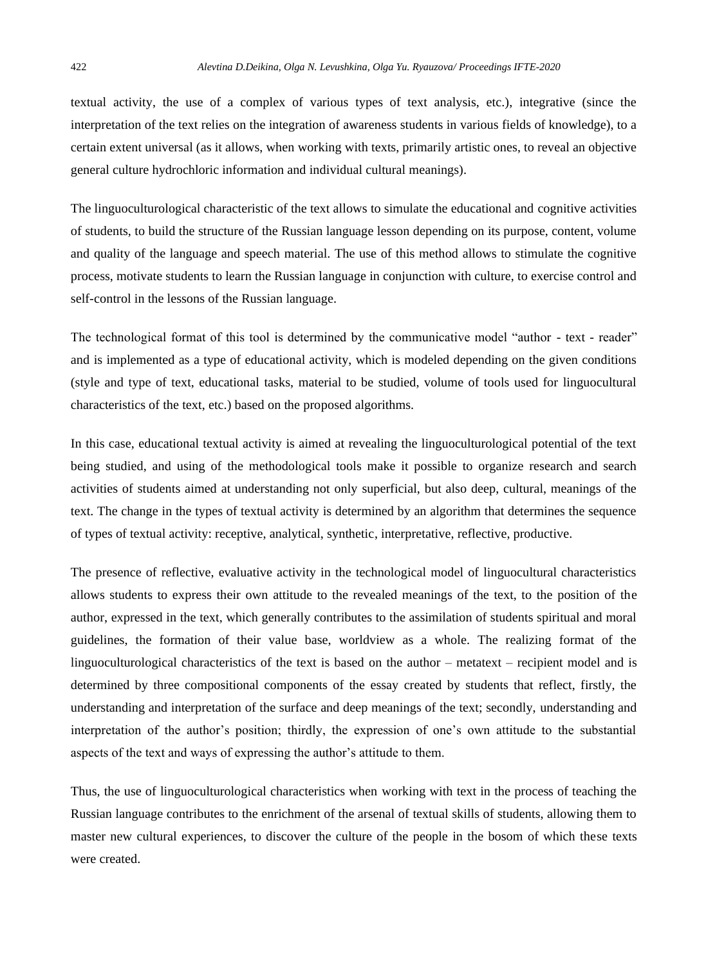textual activity, the use of a complex of various types of text analysis, etc.), integrative (since the interpretation of the text relies on the integration of awareness students in various fields of knowledge), to a certain extent universal (as it allows, when working with texts, primarily artistic ones, to reveal an objective general culture hydrochloric information and individual cultural meanings).

The linguoculturological characteristic of the text allows to simulate the educational and cognitive activities of students, to build the structure of the Russian language lesson depending on its purpose, content, volume and quality of the language and speech material. The use of this method allows to stimulate the cognitive process, motivate students to learn the Russian language in conjunction with culture, to exercise control and self-control in the lessons of the Russian language.

The technological format of this tool is determined by the communicative model "author - text - reader" and is implemented as a type of educational activity, which is modeled depending on the given conditions (style and type of text, educational tasks, material to be studied, volume of tools used for linguocultural characteristics of the text, etc.) based on the proposed algorithms.

In this case, educational textual activity is aimed at revealing the linguoculturological potential of the text being studied, and using of the methodological tools make it possible to organize research and search activities of students aimed at understanding not only superficial, but also deep, cultural, meanings of the text. The change in the types of textual activity is determined by an algorithm that determines the sequence of types of textual activity: receptive, analytical, synthetic, interpretative, reflective, productive.

The presence of reflective, evaluative activity in the technological model of linguocultural characteristics allows students to express their own attitude to the revealed meanings of the text, to the position of the author, expressed in the text, which generally contributes to the assimilation of students spiritual and moral guidelines, the formation of their value base, worldview as a whole. The realizing format of the linguoculturological characteristics of the text is based on the author – metatext – recipient model and is determined by three compositional components of the essay created by students that reflect, firstly, the understanding and interpretation of the surface and deep meanings of the text; secondly, understanding and interpretation of the author's position; thirdly, the expression of one's own attitude to the substantial aspects of the text and ways of expressing the author's attitude to them.

Thus, the use of linguoculturological characteristics when working with text in the process of teaching the Russian language contributes to the enrichment of the arsenal of textual skills of students, allowing them to master new cultural experiences, to discover the culture of the people in the bosom of which these texts were created.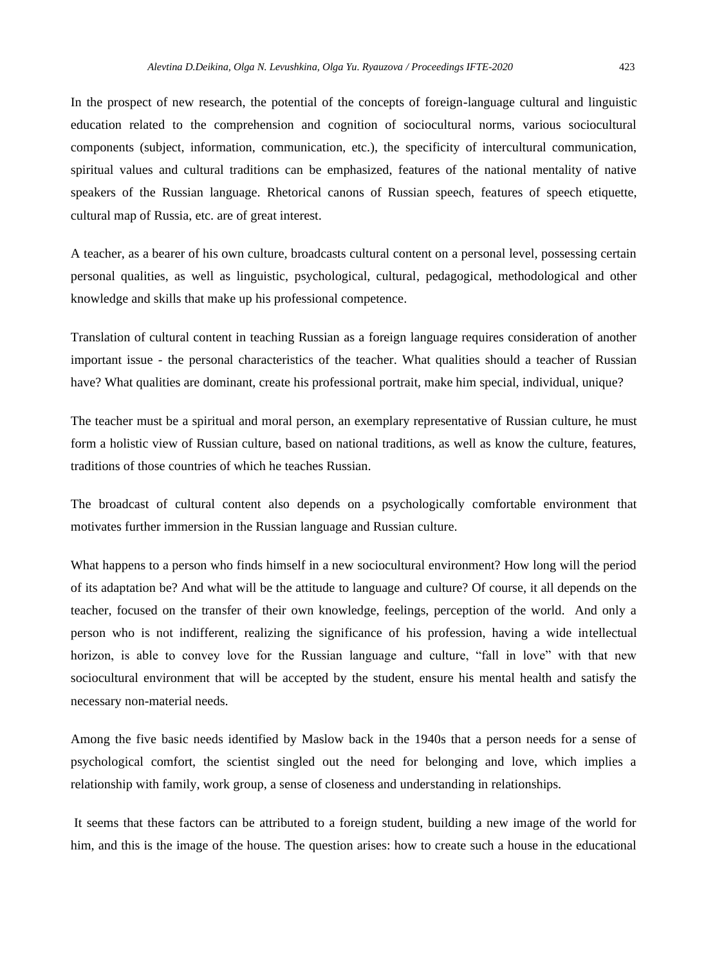In the prospect of new research, the potential of the concepts of foreign-language cultural and linguistic education related to the comprehension and cognition of sociocultural norms, various sociocultural components (subject, information, communication, etc.), the specificity of intercultural communication, spiritual values and cultural traditions can be emphasized, features of the national mentality of native speakers of the Russian language. Rhetorical canons of Russian speech, features of speech etiquette, cultural map of Russia, etc. are of great interest.

A teacher, as a bearer of his own culture, broadcasts cultural content on a personal level, possessing certain personal qualities, as well as linguistic, psychological, cultural, pedagogical, methodological and other knowledge and skills that make up his professional competence.

Translation of cultural content in teaching Russian as a foreign language requires consideration of another important issue - the personal characteristics of the teacher. What qualities should a teacher of Russian have? What qualities are dominant, create his professional portrait, make him special, individual, unique?

The teacher must be a spiritual and moral person, an exemplary representative of Russian culture, he must form a holistic view of Russian culture, based on national traditions, as well as know the culture, features, traditions of those countries of which he teaches Russian.

The broadcast of cultural content also depends on a psychologically comfortable environment that motivates further immersion in the Russian language and Russian culture.

What happens to a person who finds himself in a new sociocultural environment? How long will the period of its adaptation be? And what will be the attitude to language and culture? Of course, it all depends on the teacher, focused on the transfer of their own knowledge, feelings, perception of the world. And only a person who is not indifferent, realizing the significance of his profession, having a wide intellectual horizon, is able to convey love for the Russian language and culture, "fall in love" with that new sociocultural environment that will be accepted by the student, ensure his mental health and satisfy the necessary non-material needs.

Among the five basic needs identified by Maslow back in the 1940s that a person needs for a sense of psychological comfort, the scientist singled out the need for belonging and love, which implies a relationship with family, work group, a sense of closeness and understanding in relationships.

It seems that these factors can be attributed to a foreign student, building a new image of the world for him, and this is the image of the house. The question arises: how to create such a house in the educational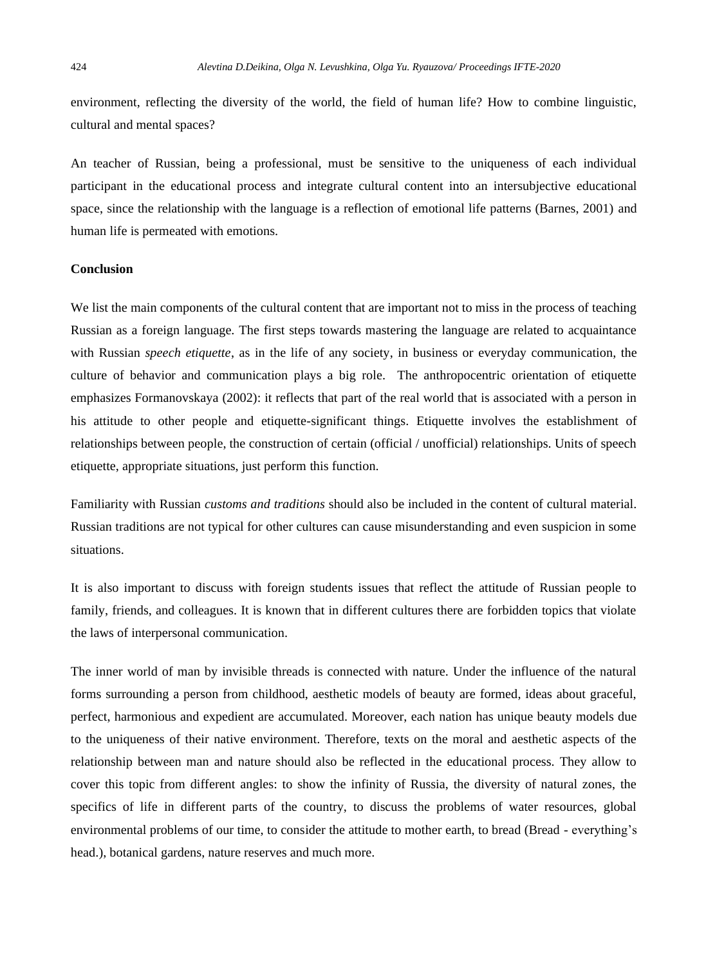environment, reflecting the diversity of the world, the field of human life? How to combine linguistic, cultural and mental spaces?

An teacher of Russian, being a professional, must be sensitive to the uniqueness of each individual participant in the educational process and integrate cultural content into an intersubjective educational space, since the relationship with the language is a reflection of emotional life patterns (Barnes, 2001) and human life is permeated with emotions.

# **Conclusion**

We list the main components of the cultural content that are important not to miss in the process of teaching Russian as a foreign language. The first steps towards mastering the language are related to acquaintance with Russian *speech etiquette*, as in the life of any society, in business or everyday communication, the culture of behavior and communication plays a big role. The anthropocentric orientation of etiquette emphasizes Formanovskaya (2002): it reflects that part of the real world that is associated with a person in his attitude to other people and etiquette-significant things. Etiquette involves the establishment of relationships between people, the construction of certain (official / unofficial) relationships. Units of speech etiquette, appropriate situations, just perform this function.

Familiarity with Russian *customs and traditions* should also be included in the content of cultural material. Russian traditions are not typical for other cultures can cause misunderstanding and even suspicion in some situations.

It is also important to discuss with foreign students issues that reflect the attitude of Russian people to family, friends, and colleagues. It is known that in different cultures there are forbidden topics that violate the laws of interpersonal communication.

The inner world of man by invisible threads is connected with nature. Under the influence of the natural forms surrounding a person from childhood, aesthetic models of beauty are formed, ideas about graceful, perfect, harmonious and expedient are accumulated. Moreover, each nation has unique beauty models due to the uniqueness of their native environment. Therefore, texts on the moral and aesthetic aspects of the relationship between man and nature should also be reflected in the educational process. They allow to cover this topic from different angles: to show the infinity of Russia, the diversity of natural zones, the specifics of life in different parts of the country, to discuss the problems of water resources, global environmental problems of our time, to consider the attitude to mother earth, to bread (Bread - everything's head.), botanical gardens, nature reserves and much more.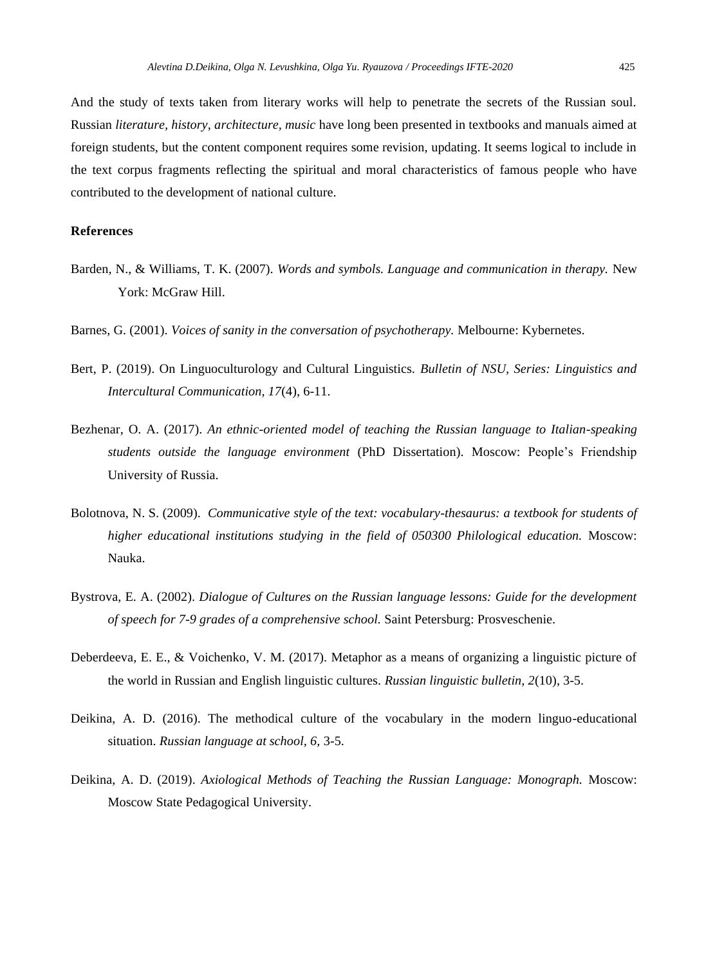And the study of texts taken from literary works will help to penetrate the secrets of the Russian soul. Russian *literature, history, architecture, music* have long been presented in textbooks and manuals aimed at foreign students, but the content component requires some revision, updating. It seems logical to include in the text corpus fragments reflecting the spiritual and moral characteristics of famous people who have contributed to the development of national culture.

# **References**

- Barden, N., & Williams, T. K. (2007). *Words and symbols. Language and communication in therapy.* New York: McGraw Hill.
- Barnes, G. (2001). *Voices of sanity in the conversation of psychotherapy.* Melbourne: Kybernetes.
- Bert, P. (2019). On Linguoculturology and Cultural Linguistics. *Bulletin of NSU, Series: Linguistics and Intercultural Communication, 17*(4), 6-11.
- Bezhenar, O. A. (2017). *An ethnic-oriented model of teaching the Russian language to Italian-speaking students outside the language environment* (PhD Dissertation). Moscow: People's Friendship University of Russia.
- Bolotnova, N. S. (2009). *Communicative style of the text: vocabulary-thesaurus: a textbook for students of higher educational institutions studying in the field of 050300 Philological education.* Moscow: Nauka.
- Bystrova, E. A. (2002). *Dialogue of Cultures on the Russian language lessons: Guide for the development of speech for 7-9 grades of a comprehensive school.* Saint Petersburg: Prosveschenie.
- Deberdeeva, E. E., & Voichenko, V. M. (2017). Metaphor as a means of organizing a linguistic picture of the world in Russian and English linguistic cultures. *Russian linguistic bulletin, 2*(10), 3-5.
- Deikina, A. D. (2016). The methodical culture of the vocabulary in the modern linguo-educational situation. *Russian language at school, 6,* 3-5.
- Deikina, A. D. (2019). *Axiological Methods of Teaching the Russian Language: Monograph.* Moscow: Moscow State Pedagogical University.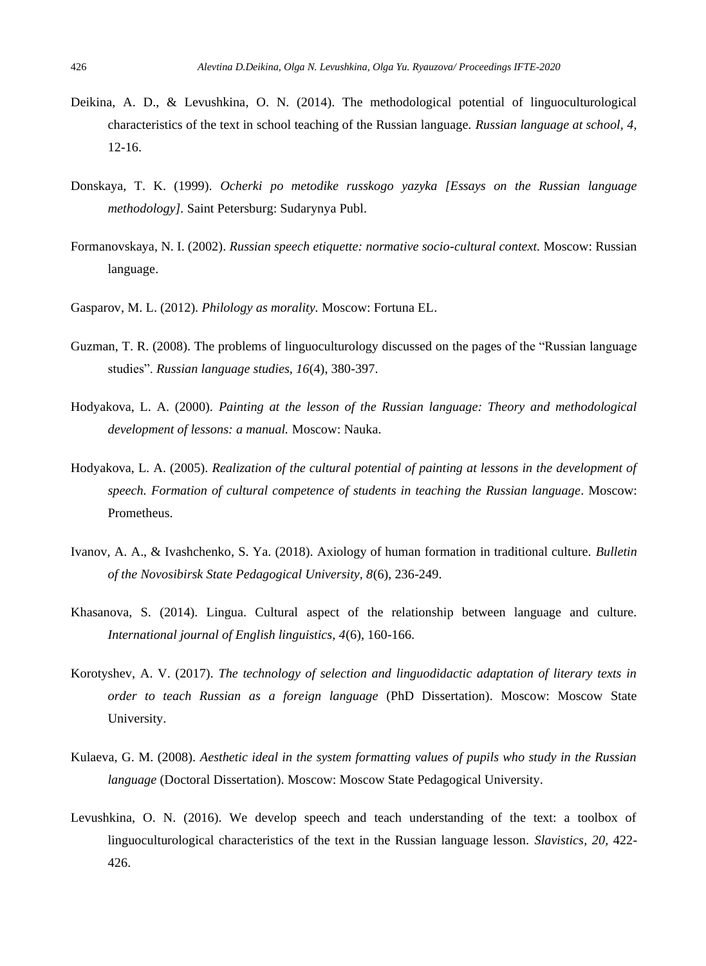- Deikina, A. D., & Levushkina, O. N. (2014). The methodological potential of linguoculturological characteristics of the text in school teaching of the Russian language. *Russian language at school, 4,* 12-16.
- Donskaya, T. K. (1999). *Ocherki po metodike russkogo yazyka [Essays on the Russian language methodology].* Saint Petersburg: Sudarynya Publ.
- Formanovskaya, N. I. (2002). *Russian speech etiquette: normative socio-cultural context.* Moscow: Russian language.
- Gasparov, M. L. (2012). *Philology as morality.* Moscow: Fortuna EL.
- Guzman, T. R. (2008). The problems of linguoculturology discussed on the pages of the "Russian language studies". *Russian language studies, 16*(4), 380-397.
- Hodyakova, L. A. (2000). *Painting at the lesson of the Russian language: Theory and methodological development of lessons: a manual.* Moscow: Nauka.
- Hodyakova, L. A. (2005). *Realization of the cultural potential of painting at lessons in the development of speech. Formation of cultural competence of students in teaching the Russian language*. Moscow: Prometheus.
- Ivanov, A. A., & Ivashchenko, S. Ya. (2018). Axiology of human formation in traditional culture. *Bulletin of the Novosibirsk State Pedagogical University, 8*(6), 236-249.
- Khasanova, S. (2014). Lingua. Cultural aspect of the relationship between language and culture. *International journal of English linguistics, 4*(6), 160-166.
- Korotyshev, A. V. (2017). *The technology of selection and linguodidactic adaptation of literary texts in order to teach Russian as a foreign language* (PhD Dissertation). Moscow: Moscow State University.
- Kulaeva, G. M. (2008). *Aesthetic ideal in the system formatting values of pupils who study in the Russian language* (Doctoral Dissertation). Moscow: Moscow State Pedagogical University.
- Levushkina, O. N. (2016). We develop speech and teach understanding of the text: a toolbox of linguoculturological characteristics of the text in the Russian language lesson. *Slavistics, 20,* 422- 426.